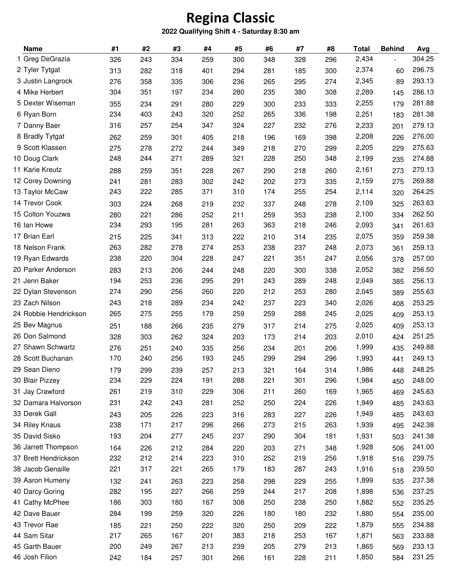## **Regina Classic**

## **2022 Qualifying Shift 4 - Saturday 8:30 am**

| <b>Name</b>           | #1  | #2  | #3  | #4  | #5  | #6  | #7  | #8  | <b>Total</b> | <b>Behind</b> | Avg    |
|-----------------------|-----|-----|-----|-----|-----|-----|-----|-----|--------------|---------------|--------|
| 1 Greg DeGrazia       | 326 | 243 | 334 | 259 | 300 | 348 | 328 | 296 | 2,434        |               | 304.25 |
| 2 Tyler Tytgat        | 313 | 282 | 318 | 401 | 294 | 281 | 185 | 300 | 2,374        | 60            | 296.75 |
| 3 Justin Langrock     | 276 | 358 | 335 | 306 | 236 | 265 | 295 | 274 | 2,345        | 89            | 293.13 |
| 4 Mike Herbert        | 304 | 351 | 197 | 234 | 280 | 235 | 380 | 308 | 2,289        | 145           | 286.13 |
| 5 Dexter Wiseman      | 355 | 234 | 291 | 280 | 229 | 300 | 233 | 333 | 2,255        | 179           | 281.88 |
| 6 Ryan Born           | 234 | 403 | 243 | 320 | 252 | 265 | 336 | 198 | 2,251        | 183           | 281.38 |
| 7 Danny Baer          | 316 | 257 | 254 | 347 | 324 | 227 | 232 | 276 | 2,233        | 201           | 279.13 |
| 8 Bradly Tytgat       | 262 | 259 | 301 | 405 | 218 | 196 | 169 | 398 | 2,208        | 226           | 276.00 |
| 9 Scott Klassen       | 275 | 278 | 272 | 244 | 349 | 218 | 270 | 299 | 2,205        | 229           | 275.63 |
| 10 Doug Clark         | 248 | 244 | 271 | 289 | 321 | 228 | 250 | 348 | 2,199        | 235           | 274.88 |
| 11 Karie Kreutz       | 288 | 259 | 351 | 228 | 267 | 290 | 218 | 260 | 2,161        | 273           | 270.13 |
| 12 Corey Downing      | 241 | 281 | 283 | 302 | 242 | 202 | 273 | 335 | 2,159        | 275           | 269.88 |
| 13 Taylor McCaw       | 243 | 222 | 285 | 371 | 310 | 174 | 255 | 254 | 2,114        | 320           | 264.25 |
| 14 Trevor Cook        | 303 | 224 | 268 | 219 | 232 | 337 | 248 | 278 | 2,109        | 325           | 263.63 |
| 15 Colton Youzwa      | 280 | 221 | 286 | 252 | 211 | 259 | 353 | 238 | 2,100        | 334           | 262.50 |
| 16 Ian Howe           | 234 | 293 | 195 | 281 | 263 | 363 | 218 | 246 | 2,093        | 341           | 261.63 |
| 17 Brian Earl         | 215 | 225 | 341 | 313 | 222 | 210 | 314 | 235 | 2,075        | 359           | 259.38 |
| 18 Nelson Frank       | 263 | 282 | 278 | 274 | 253 | 238 | 237 | 248 | 2,073        | 361           | 259.13 |
| 19 Ryan Edwards       | 238 | 220 | 304 | 228 | 247 | 221 | 351 | 247 | 2,056        | 378           | 257.00 |
| 20 Parker Anderson    | 283 | 213 | 206 | 244 | 248 | 220 | 300 | 338 | 2,052        | 382           | 256.50 |
| 21 Jenn Baker         | 194 | 253 | 236 | 295 | 291 | 243 | 289 | 248 | 2,049        | 385           | 256.13 |
| 22 Dylan Stevenson    | 274 | 290 | 256 | 260 | 220 | 212 | 253 | 280 | 2,045        | 389           | 255.63 |
| 23 Zach Nilson        | 243 | 218 | 289 | 234 | 242 | 237 | 223 | 340 | 2,026        | 408           | 253.25 |
| 24 Robbie Hendrickson | 265 | 275 | 255 | 179 | 259 | 259 | 288 | 245 | 2,025        | 409           | 253.13 |
| 25 Bev Magnus         | 251 | 188 | 266 | 235 | 279 | 317 | 214 | 275 | 2,025        | 409           | 253.13 |
| 26 Don Salmond        | 328 | 303 | 262 | 324 | 203 | 173 | 214 | 203 | 2,010        | 424           | 251.25 |
| 27 Shawn Schwartz     | 276 | 251 | 240 | 335 | 256 | 234 | 201 | 206 | 1,999        | 435           | 249.88 |
| 28 Scott Buchanan     | 170 | 240 | 256 | 193 | 245 | 299 | 294 | 296 | 1,993        | 441           | 249.13 |
| 29 Sean Dieno         | 179 | 299 | 239 | 257 | 213 | 321 | 164 | 314 | 1,986        | 448           | 248.25 |
| 30 Blair Pizzey       | 234 | 229 | 224 | 191 | 288 | 221 | 301 | 296 | 1,984        | 450           | 248.00 |
| 31 Jay Crawford       | 261 | 219 | 310 | 229 | 306 | 211 | 260 | 169 | 1,965        | 469           | 245.63 |
| 32 Damara Halvorson   | 231 | 242 | 243 | 281 | 252 | 250 | 224 | 226 | 1,949        | 485           | 243.63 |
| 33 Derek Gall         | 243 | 205 | 226 | 223 | 316 | 283 | 227 | 226 | 1,949        | 485           | 243.63 |
| 34 Riley Knaus        | 238 | 171 | 217 | 296 | 266 | 273 | 215 | 263 | 1,939        | 495           | 242.38 |
| 35 David Sisko        | 193 | 204 | 277 | 245 | 237 | 290 | 304 | 181 | 1,931        | 503           | 241.38 |
| 36 Jarrett Thompson   | 164 | 226 | 212 | 284 | 220 | 203 | 271 | 348 | 1,928        | 506           | 241.00 |
| 37 Brett Hendrickson  | 232 | 212 | 214 | 223 | 310 | 252 | 219 | 256 | 1,918        | 516           | 239.75 |
| 38 Jacob Genaille     | 221 | 317 | 221 | 265 | 179 | 183 | 287 | 243 | 1,916        | 518           | 239.50 |
| 39 Aaron Humeny       | 132 | 241 | 263 | 223 | 258 | 298 | 229 | 255 | 1,899        | 535           | 237.38 |
| 40 Darcy Goring       | 282 | 195 | 227 | 266 | 259 | 244 | 217 | 208 | 1,898        | 536           | 237.25 |
| 41 Cathy McPhee       | 186 | 303 | 180 | 167 | 308 | 250 | 238 | 250 | 1,882        | 552           | 235.25 |
| 42 Dave Bauer         | 284 | 199 | 259 | 320 | 226 | 180 | 180 | 232 | 1,880        | 554           | 235.00 |
| 43 Trevor Rae         | 185 | 221 | 250 | 222 | 320 | 250 | 209 | 222 | 1,879        | 555           | 234.88 |
| 44 Sam Sitar          | 217 | 265 | 167 | 201 | 383 | 218 | 253 | 167 | 1,871        | 563           | 233.88 |
| 45 Garth Bauer        | 200 | 249 | 267 | 213 | 239 | 205 | 279 | 213 | 1,865        | 569           | 233.13 |
| 46 Josh Filion        | 242 | 184 | 257 | 301 | 266 | 161 | 228 | 211 | 1,850        | 584           | 231.25 |